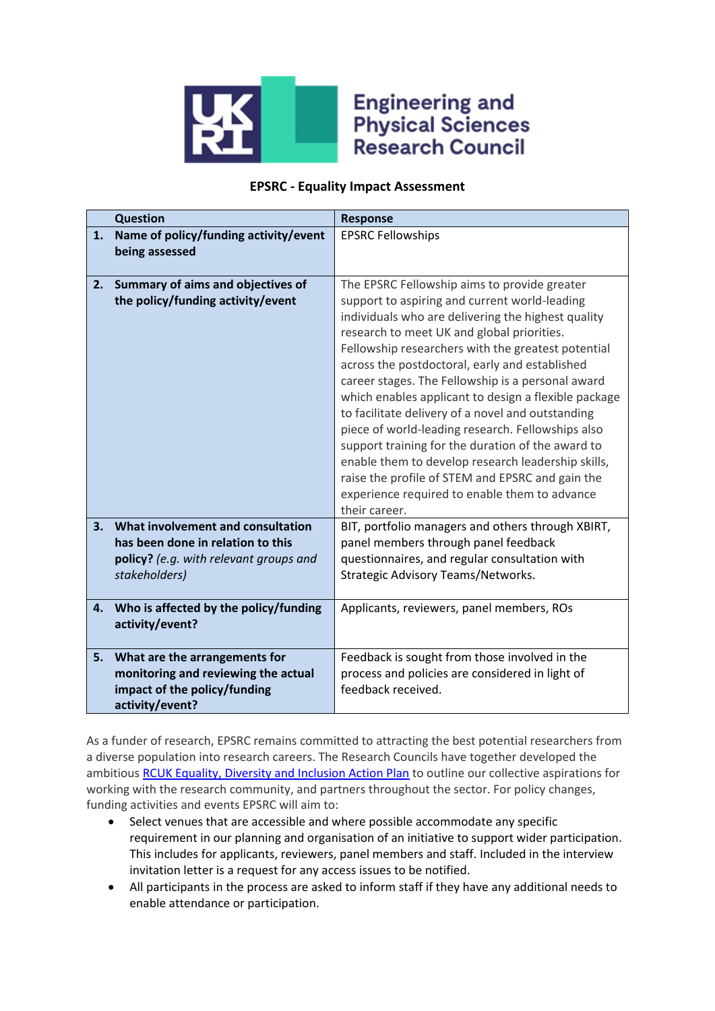

## **Engineering and Physical Sciences Research Council**

## **EPSRC - Equality Impact Assessment**

|    | <b>Question</b>                                                                                                                   | <b>Response</b>                                                                                                                                                                                                                                                                                                                                                                                                                                                                                                                                                                                                                                                                                                                                                   |
|----|-----------------------------------------------------------------------------------------------------------------------------------|-------------------------------------------------------------------------------------------------------------------------------------------------------------------------------------------------------------------------------------------------------------------------------------------------------------------------------------------------------------------------------------------------------------------------------------------------------------------------------------------------------------------------------------------------------------------------------------------------------------------------------------------------------------------------------------------------------------------------------------------------------------------|
| 1. | Name of policy/funding activity/event<br>being assessed                                                                           | <b>EPSRC Fellowships</b>                                                                                                                                                                                                                                                                                                                                                                                                                                                                                                                                                                                                                                                                                                                                          |
| 2. | Summary of aims and objectives of<br>the policy/funding activity/event                                                            | The EPSRC Fellowship aims to provide greater<br>support to aspiring and current world-leading<br>individuals who are delivering the highest quality<br>research to meet UK and global priorities.<br>Fellowship researchers with the greatest potential<br>across the postdoctoral, early and established<br>career stages. The Fellowship is a personal award<br>which enables applicant to design a flexible package<br>to facilitate delivery of a novel and outstanding<br>piece of world-leading research. Fellowships also<br>support training for the duration of the award to<br>enable them to develop research leadership skills,<br>raise the profile of STEM and EPSRC and gain the<br>experience required to enable them to advance<br>their career. |
| 3. | What involvement and consultation<br>has been done in relation to this<br>policy? (e.g. with relevant groups and<br>stakeholders) | BIT, portfolio managers and others through XBIRT,<br>panel members through panel feedback<br>questionnaires, and regular consultation with<br>Strategic Advisory Teams/Networks.                                                                                                                                                                                                                                                                                                                                                                                                                                                                                                                                                                                  |
| 4. | Who is affected by the policy/funding<br>activity/event?                                                                          | Applicants, reviewers, panel members, ROs                                                                                                                                                                                                                                                                                                                                                                                                                                                                                                                                                                                                                                                                                                                         |
| 5. | What are the arrangements for<br>monitoring and reviewing the actual<br>impact of the policy/funding<br>activity/event?           | Feedback is sought from those involved in the<br>process and policies are considered in light of<br>feedback received.                                                                                                                                                                                                                                                                                                                                                                                                                                                                                                                                                                                                                                            |

As a funder of research, EPSRC remains committed to attracting the best potential researchers from a diverse population into research careers. The Research Councils have together developed the ambitious [RCUK Equality, Diversity and Inclusion Action Plan](https://www.ukri.org/files/legacy/documents/actionplan2016-pdf/) to outline our collective aspirations for working with the research community, and partners throughout the sector. For policy changes, funding activities and events EPSRC will aim to:

- Select venues that are accessible and where possible accommodate any specific requirement in our planning and organisation of an initiative to support wider participation. This includes for applicants, reviewers, panel members and staff. Included in the interview invitation letter is a request for any access issues to be notified.
- All participants in the process are asked to inform staff if they have any additional needs to enable attendance or participation.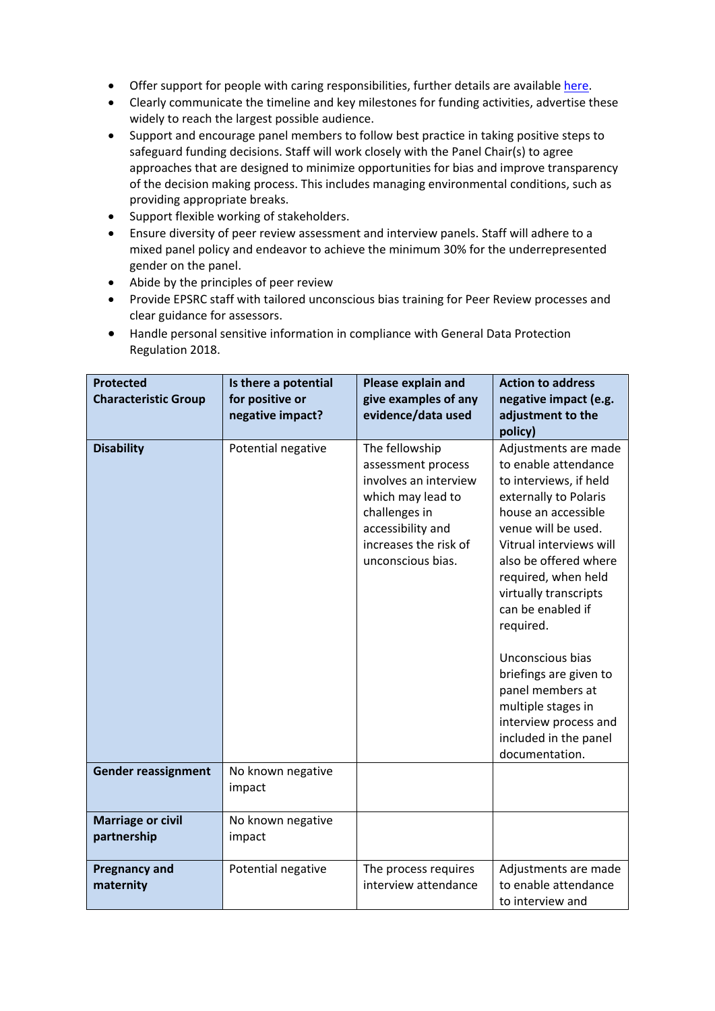- Offer support for people with caring responsibilities, further details are available [here.](https://epsrc.ukri.org/funding/applicationprocess/basics/caringresponsibilities/)
- Clearly communicate the timeline and key milestones for funding activities, advertise these widely to reach the largest possible audience.
- Support and encourage panel members to follow best practice in taking positive steps to safeguard funding decisions. Staff will work closely with the Panel Chair(s) to agree approaches that are designed to minimize opportunities for bias and improve transparency of the decision making process. This includes managing environmental conditions, such as providing appropriate breaks.
- Support flexible working of stakeholders.
- Ensure diversity of peer review assessment and interview panels. Staff will adhere to a mixed panel policy and endeavor to achieve the minimum 30% for the underrepresented gender on the panel.
- Abide by the principles of peer review
- Provide EPSRC staff with tailored unconscious bias training for Peer Review processes and clear guidance for assessors.
- Handle personal sensitive information in compliance with General Data Protection Regulation 2018.

| <b>Protected</b>                        | Is there a potential        | Please explain and                                                                                                                                                     | <b>Action to address</b>                                                                                                                                                                                                                                               |
|-----------------------------------------|-----------------------------|------------------------------------------------------------------------------------------------------------------------------------------------------------------------|------------------------------------------------------------------------------------------------------------------------------------------------------------------------------------------------------------------------------------------------------------------------|
| <b>Characteristic Group</b>             | for positive or             | give examples of any                                                                                                                                                   | negative impact (e.g.                                                                                                                                                                                                                                                  |
|                                         | negative impact?            | evidence/data used                                                                                                                                                     | adjustment to the                                                                                                                                                                                                                                                      |
|                                         |                             |                                                                                                                                                                        | policy)                                                                                                                                                                                                                                                                |
| <b>Disability</b>                       | Potential negative          | The fellowship<br>assessment process<br>involves an interview<br>which may lead to<br>challenges in<br>accessibility and<br>increases the risk of<br>unconscious bias. | Adjustments are made<br>to enable attendance<br>to interviews, if held<br>externally to Polaris<br>house an accessible<br>venue will be used.<br>Vitrual interviews will<br>also be offered where<br>required, when held<br>virtually transcripts<br>can be enabled if |
|                                         |                             |                                                                                                                                                                        | required.<br>Unconscious bias<br>briefings are given to<br>panel members at<br>multiple stages in<br>interview process and<br>included in the panel<br>documentation.                                                                                                  |
| <b>Gender reassignment</b>              | No known negative<br>impact |                                                                                                                                                                        |                                                                                                                                                                                                                                                                        |
| <b>Marriage or civil</b><br>partnership | No known negative<br>impact |                                                                                                                                                                        |                                                                                                                                                                                                                                                                        |
| <b>Pregnancy and</b><br>maternity       | Potential negative          | The process requires<br>interview attendance                                                                                                                           | Adjustments are made<br>to enable attendance<br>to interview and                                                                                                                                                                                                       |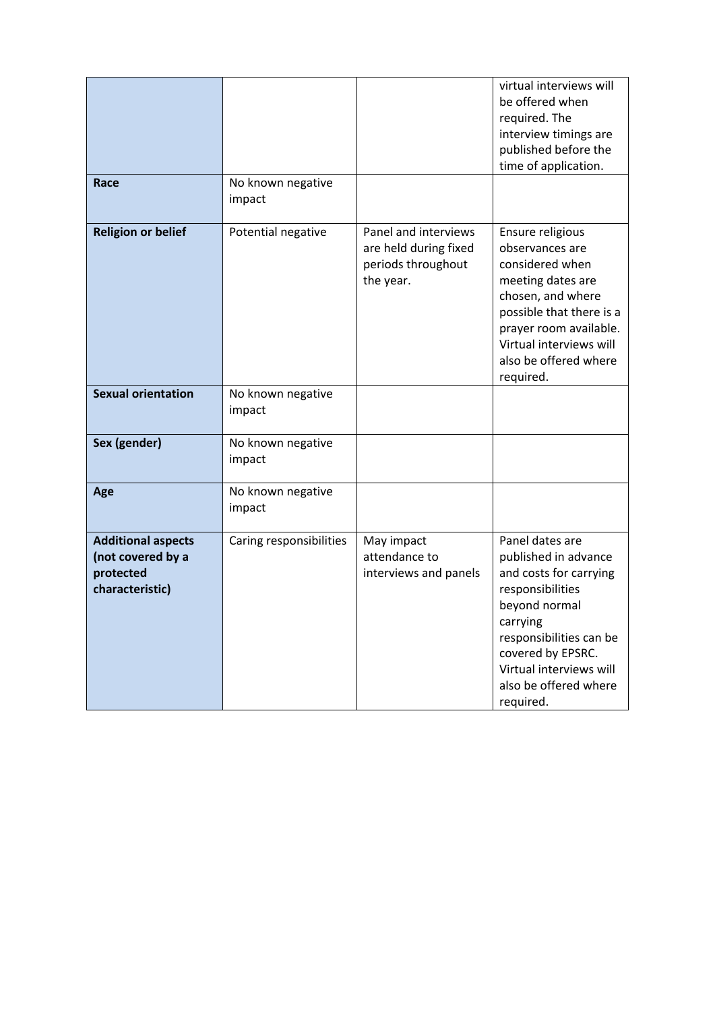| Race                                                                           | No known negative<br>impact |                                                                                  | virtual interviews will<br>be offered when<br>required. The<br>interview timings are<br>published before the<br>time of application.                                                                                                |
|--------------------------------------------------------------------------------|-----------------------------|----------------------------------------------------------------------------------|-------------------------------------------------------------------------------------------------------------------------------------------------------------------------------------------------------------------------------------|
| <b>Religion or belief</b>                                                      | Potential negative          | Panel and interviews<br>are held during fixed<br>periods throughout<br>the year. | Ensure religious<br>observances are<br>considered when<br>meeting dates are<br>chosen, and where<br>possible that there is a<br>prayer room available.<br>Virtual interviews will<br>also be offered where<br>required.             |
| <b>Sexual orientation</b>                                                      | No known negative<br>impact |                                                                                  |                                                                                                                                                                                                                                     |
| Sex (gender)                                                                   | No known negative<br>impact |                                                                                  |                                                                                                                                                                                                                                     |
| Age                                                                            | No known negative<br>impact |                                                                                  |                                                                                                                                                                                                                                     |
| <b>Additional aspects</b><br>(not covered by a<br>protected<br>characteristic) | Caring responsibilities     | May impact<br>attendance to<br>interviews and panels                             | Panel dates are<br>published in advance<br>and costs for carrying<br>responsibilities<br>beyond normal<br>carrying<br>responsibilities can be<br>covered by EPSRC.<br>Virtual interviews will<br>also be offered where<br>required. |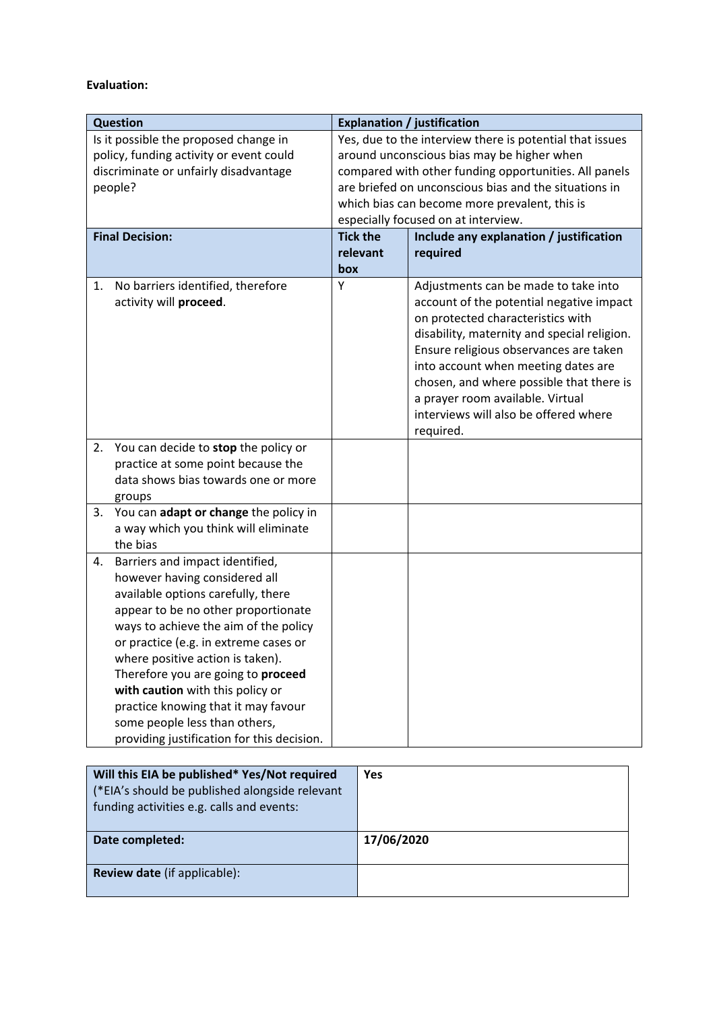## **Evaluation:**

| <b>Question</b>                                                                                                                                                                                                                                                                                                                                                                                                                                                           | <b>Explanation / justification</b>                                                                                                                                                                                                                                                                               |                                                                                                                                                                                                                                                                                                                                                                                             |  |
|---------------------------------------------------------------------------------------------------------------------------------------------------------------------------------------------------------------------------------------------------------------------------------------------------------------------------------------------------------------------------------------------------------------------------------------------------------------------------|------------------------------------------------------------------------------------------------------------------------------------------------------------------------------------------------------------------------------------------------------------------------------------------------------------------|---------------------------------------------------------------------------------------------------------------------------------------------------------------------------------------------------------------------------------------------------------------------------------------------------------------------------------------------------------------------------------------------|--|
| Is it possible the proposed change in<br>policy, funding activity or event could<br>discriminate or unfairly disadvantage<br>people?                                                                                                                                                                                                                                                                                                                                      | Yes, due to the interview there is potential that issues<br>around unconscious bias may be higher when<br>compared with other funding opportunities. All panels<br>are briefed on unconscious bias and the situations in<br>which bias can become more prevalent, this is<br>especially focused on at interview. |                                                                                                                                                                                                                                                                                                                                                                                             |  |
| <b>Final Decision:</b>                                                                                                                                                                                                                                                                                                                                                                                                                                                    | <b>Tick the</b><br>relevant                                                                                                                                                                                                                                                                                      | Include any explanation / justification<br>required                                                                                                                                                                                                                                                                                                                                         |  |
|                                                                                                                                                                                                                                                                                                                                                                                                                                                                           | box                                                                                                                                                                                                                                                                                                              |                                                                                                                                                                                                                                                                                                                                                                                             |  |
| No barriers identified, therefore<br>1.<br>activity will proceed.                                                                                                                                                                                                                                                                                                                                                                                                         | Υ                                                                                                                                                                                                                                                                                                                | Adjustments can be made to take into<br>account of the potential negative impact<br>on protected characteristics with<br>disability, maternity and special religion.<br>Ensure religious observances are taken<br>into account when meeting dates are<br>chosen, and where possible that there is<br>a prayer room available. Virtual<br>interviews will also be offered where<br>required. |  |
| You can decide to stop the policy or<br>2.<br>practice at some point because the<br>data shows bias towards one or more<br>groups                                                                                                                                                                                                                                                                                                                                         |                                                                                                                                                                                                                                                                                                                  |                                                                                                                                                                                                                                                                                                                                                                                             |  |
| You can adapt or change the policy in<br>3.<br>a way which you think will eliminate<br>the bias                                                                                                                                                                                                                                                                                                                                                                           |                                                                                                                                                                                                                                                                                                                  |                                                                                                                                                                                                                                                                                                                                                                                             |  |
| Barriers and impact identified,<br>4.<br>however having considered all<br>available options carefully, there<br>appear to be no other proportionate<br>ways to achieve the aim of the policy<br>or practice (e.g. in extreme cases or<br>where positive action is taken).<br>Therefore you are going to proceed<br>with caution with this policy or<br>practice knowing that it may favour<br>some people less than others,<br>providing justification for this decision. |                                                                                                                                                                                                                                                                                                                  |                                                                                                                                                                                                                                                                                                                                                                                             |  |
| Will this EIA be published* Yes/Not required<br>Yes                                                                                                                                                                                                                                                                                                                                                                                                                       |                                                                                                                                                                                                                                                                                                                  |                                                                                                                                                                                                                                                                                                                                                                                             |  |

| Will this EIA be published* Yes/Not required<br>(*EIA's should be published alongside relevant<br>funding activities e.g. calls and events: | Yes        |
|---------------------------------------------------------------------------------------------------------------------------------------------|------------|
| Date completed:                                                                                                                             | 17/06/2020 |
| <b>Review date</b> (if applicable):                                                                                                         |            |